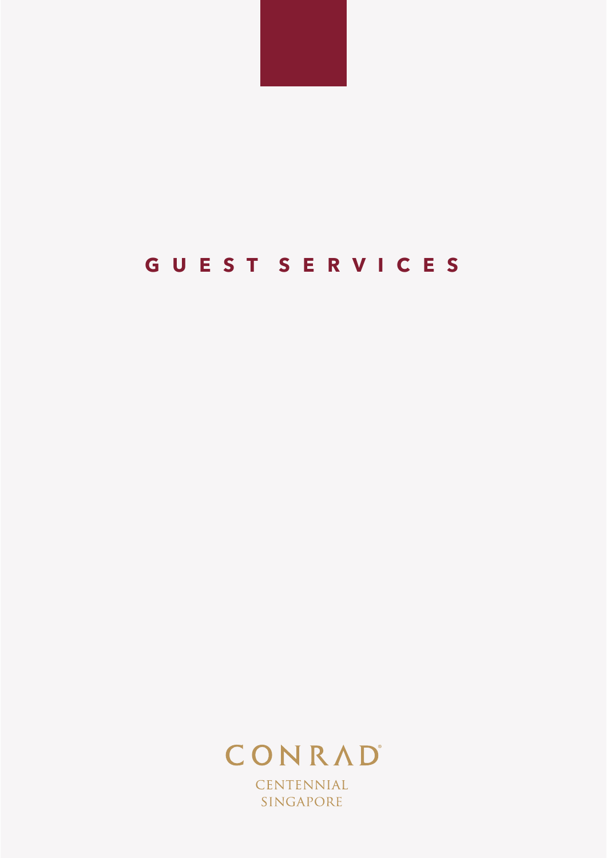

# **G U E S T S E R V I C E S**



CENTENNIAL SINGAPORE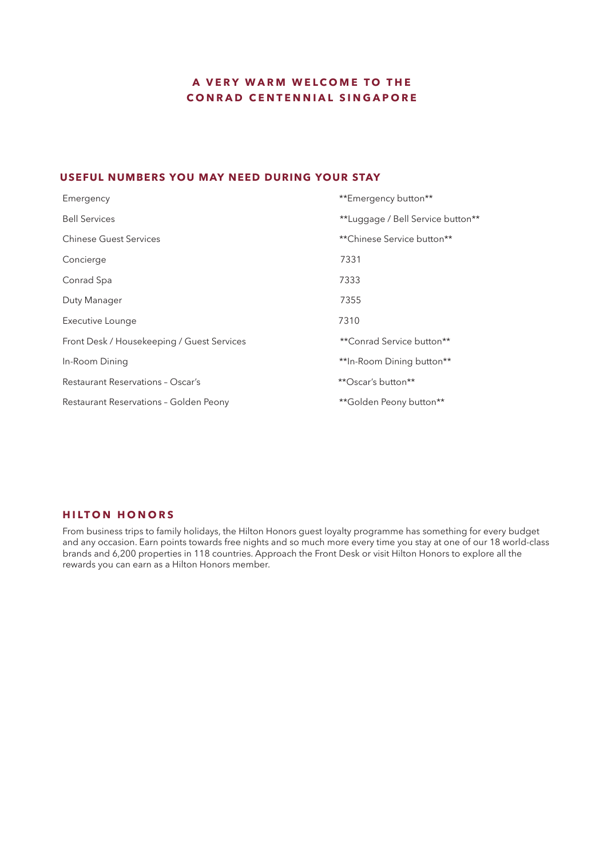# **A VERY WARM WELCOME TO THE CONRAD CENTENNIAL SINGAPORE**

# **USEFUL NUMBERS YOU MAY NEED DURING YOUR STAY**

| Emergency                                  | **Emergency button**              |
|--------------------------------------------|-----------------------------------|
| <b>Bell Services</b>                       | **Luggage / Bell Service button** |
| <b>Chinese Guest Services</b>              | **Chinese Service button**        |
| Concierge                                  | 7331                              |
| Conrad Spa                                 | 7333                              |
| Duty Manager                               | 7355                              |
| Executive Lounge                           | 7310                              |
| Front Desk / Housekeeping / Guest Services | **Conrad Service button**         |
| In-Room Dining                             | **In-Room Dining button**         |
| <b>Restaurant Reservations - Oscar's</b>   | **Oscar's button**                |
| Restaurant Reservations - Golden Peony     | **Golden Peony button**           |

# **HILTON HONORS**

From business trips to family holidays, the Hilton Honors guest loyalty programme has something for every budget and any occasion. Earn points towards free nights and so much more every time you stay at one of our 18 world-class brands and 6,200 properties in 118 countries. Approach the Front Desk or visit Hilton Honors to explore all the rewards you can earn as a Hilton Honors member.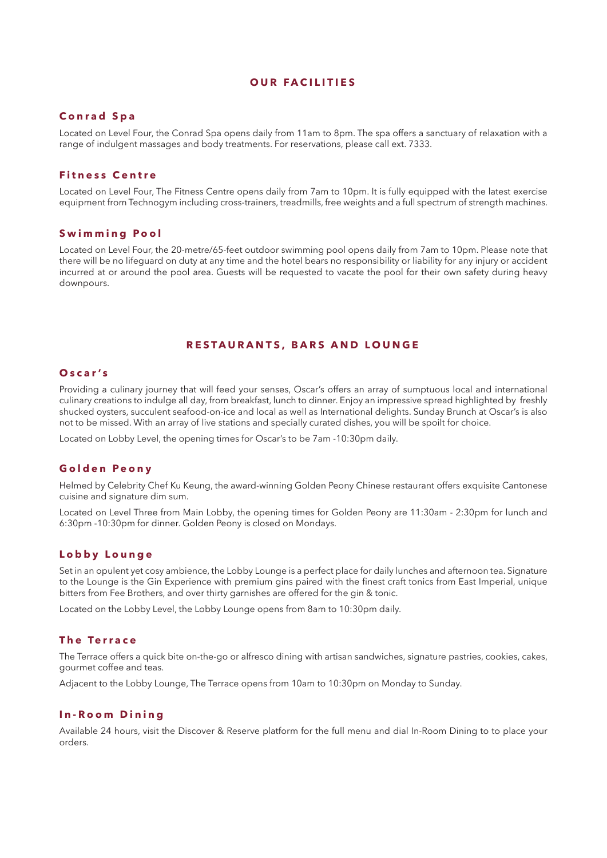#### **OUR FACILITIES**

### **Conrad Spa**

Located on Level Four, the Conrad Spa opens daily from 11am to 8pm. The spa offers a sanctuary of relaxation with a range of indulgent massages and body treatments. For reservations, please call ext. 7333.

# **Fitness Centre**

Located on Level Four, The Fitness Centre opens daily from 7am to 10pm. It is fully equipped with the latest exercise equipment from Technogym including cross-trainers, treadmills, free weights and a full spectrum of strength machines.

#### **Swimming Pool**

Located on Level Four, the 20-metre/65-feet outdoor swimming pool opens daily from 7am to 10pm. Please note that there will be no lifeguard on duty at any time and the hotel bears no responsibility or liability for any injury or accident incurred at or around the pool area. Guests will be requested to vacate the pool for their own safety during heavy downpours.

#### **RESTAURANTS, BARS AND LOUNGE**

# **Oscar's**

Providing a culinary journey that will feed your senses, Oscar's offers an array of sumptuous local and international culinary creations to indulge all day, from breakfast, lunch to dinner. Enjoy an impressive spread highlighted by freshly shucked oysters, succulent seafood-on-ice and local as well as International delights. Sunday Brunch at Oscar's is also not to be missed. With an array of live stations and specially curated dishes, you will be spoilt for choice.

Located on Lobby Level, the opening times for Oscar's to be 7am -10:30pm daily.

## **Golden Peony**

Helmed by Celebrity Chef Ku Keung, the award-winning Golden Peony Chinese restaurant offers exquisite Cantonese cuisine and signature dim sum.

Located on Level Three from Main Lobby, the opening times for Golden Peony are 11:30am - 2:30pm for lunch and 6:30pm -10:30pm for dinner. Golden Peony is closed on Mondays.

#### **Lobby Lounge**

Set in an opulent yet cosy ambience, the Lobby Lounge is a perfect place for daily lunches and afternoon tea. Signature to the Lounge is the Gin Experience with premium gins paired with the finest craft tonics from East Imperial, unique bitters from Fee Brothers, and over thirty garnishes are offered for the gin & tonic.

Located on the Lobby Level, the Lobby Lounge opens from 8am to 10:30pm daily.

# **The Terrace**

The Terrace offers a quick bite on-the-go or alfresco dining with artisan sandwiches, signature pastries, cookies, cakes, gourmet coffee and teas.

Adjacent to the Lobby Lounge, The Terrace opens from 10am to 10:30pm on Monday to Sunday.

#### **In-Room Dining**

Available 24 hours, visit the Discover & Reserve platform for the full menu and dial In-Room Dining to to place your orders.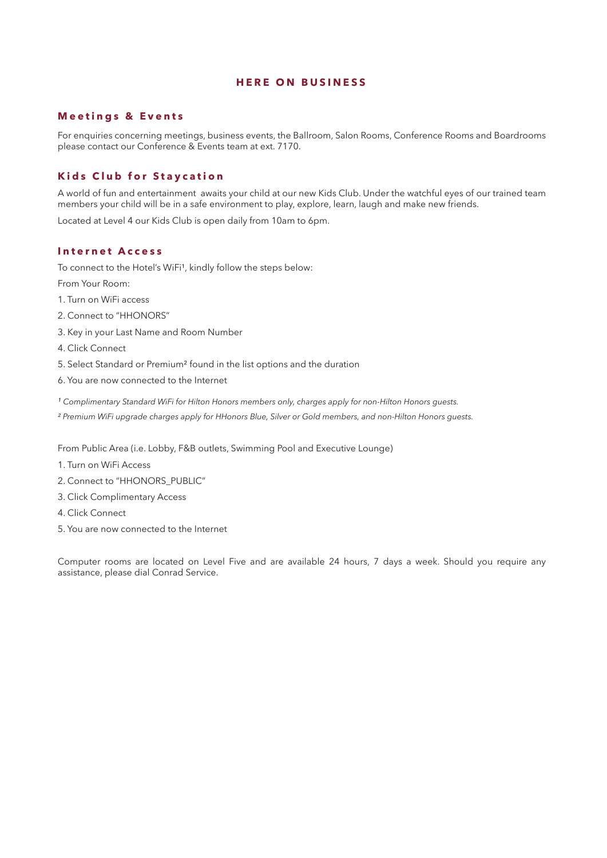# **HERE ON BUSINESS**

# **Meetings & Events**

For enquiries concerning meetings, business events, the Ballroom, Salon Rooms, Conference Rooms and Boardrooms please contact our Conference & Events team at ext. 7170.

# **Kids Club for Staycation**

A world of fun and entertainment awaits your child at our new Kids Club. Under the watchful eyes of our trained team members your child will be in a safe environment to play, explore, learn, laugh and make new friends.

Located at Level 4 our Kids Club is open daily from 10am to 6pm.

## **Internet Access**

To connect to the Hotel's WiFi<sup>1</sup>, kindly follow the steps below:

From Your Room:

- 1. Turn on WiFi access
- 2. Connect to "HHONORS"
- 3. Key in your Last Name and Room Number
- 4. Click Connect
- 5. Select Standard or Premium² found in the list options and the duration
- 6. You are now connected to the Internet
- *¹ Complimentary Standard WiFi for Hilton Honors members only, charges apply for non-Hilton Honors guests.*

*² Premium WiFi upgrade charges apply for HHonors Blue, Silver or Gold members, and non-Hilton Honors guests.*

From Public Area (i.e. Lobby, F&B outlets, Swimming Pool and Executive Lounge)

- 1. Turn on WiFi Access
- 2. Connect to "HHONORS\_PUBLIC"
- 3. Click Complimentary Access
- 4. Click Connect
- 5. You are now connected to the Internet

Computer rooms are located on Level Five and are available 24 hours, 7 days a week. Should you require any assistance, please dial Conrad Service.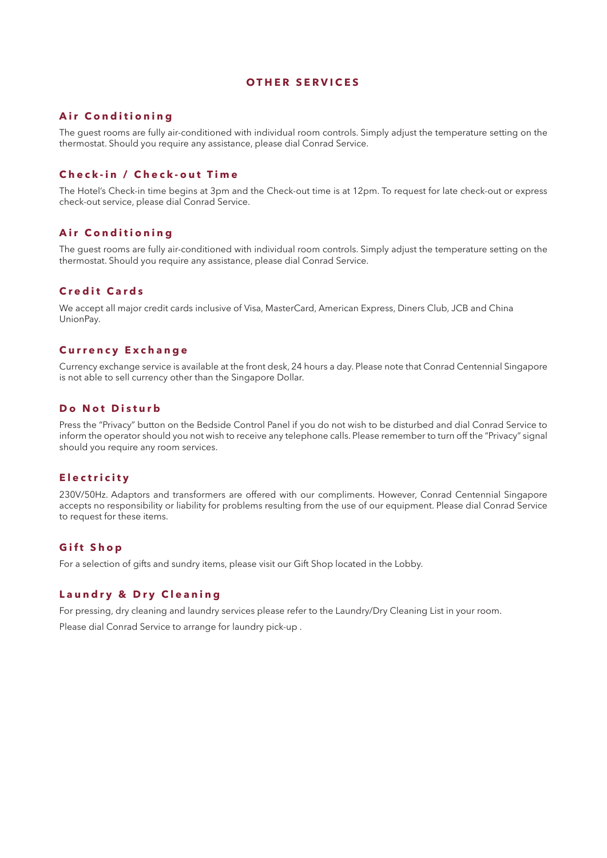#### **OTHER SERVICES**

# **Air Conditioning**

The guest rooms are fully air-conditioned with individual room controls. Simply adjust the temperature setting on the thermostat. Should you require any assistance, please dial Conrad Service.

# **Check-in / Check-out Time**

The Hotel's Check-in time begins at 3pm and the Check-out time is at 12pm. To request for late check-out or express check-out service, please dial Conrad Service.

## **Air Conditioning**

The guest rooms are fully air-conditioned with individual room controls. Simply adjust the temperature setting on the thermostat. Should you require any assistance, please dial Conrad Service.

# **Credit Cards**

We accept all major credit cards inclusive of Visa, MasterCard, American Express, Diners Club, JCB and China UnionPay.

# **Currency Exchange**

Currency exchange service is available at the front desk, 24 hours a day. Please note that Conrad Centennial Singapore is not able to sell currency other than the Singapore Dollar.

### **Do Not Disturb**

Press the "Privacy" button on the Bedside Control Panel if you do not wish to be disturbed and dial Conrad Service to inform the operator should you not wish to receive any telephone calls. Please remember to turn off the "Privacy" signal should you require any room services.

## **Electricity**

230V/50Hz. Adaptors and transformers are offered with our compliments. However, Conrad Centennial Singapore accepts no responsibility or liability for problems resulting from the use of our equipment. Please dial Conrad Service to request for these items.

#### **Gift Shop**

For a selection of gifts and sundry items, please visit our Gift Shop located in the Lobby.

# **Laundry & Dry Cleaning**

For pressing, dry cleaning and laundry services please refer to the Laundry/Dry Cleaning List in your room.

Please dial Conrad Service to arrange for laundry pick-up .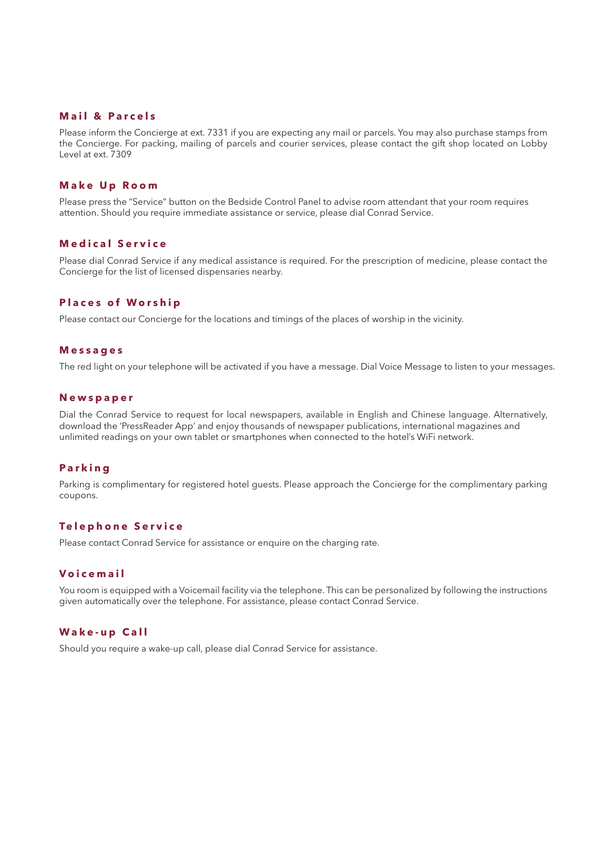# **Mail & Parcels**

Please inform the Concierge at ext. 7331 if you are expecting any mail or parcels. You may also purchase stamps from the Concierge. For packing, mailing of parcels and courier services, please contact the gift shop located on Lobby Level at ext. 7309

## **Make Up Room**

Please press the "Service" button on the Bedside Control Panel to advise room attendant that your room requires attention. Should you require immediate assistance or service, please dial Conrad Service.

## **Medical Service**

Please dial Conrad Service if any medical assistance is required. For the prescription of medicine, please contact the Concierge for the list of licensed dispensaries nearby.

#### **Places of Worship**

Please contact our Concierge for the locations and timings of the places of worship in the vicinity.

#### **Messages**

The red light on your telephone will be activated if you have a message. Dial Voice Message to listen to your messages.

# **Newspaper**

Dial the Conrad Service to request for local newspapers, available in English and Chinese language. Alternatively, download the 'PressReader App' and enjoy thousands of newspaper publications, international magazines and unlimited readings on your own tablet or smartphones when connected to the hotel's WiFi network.

#### **Parking**

Parking is complimentary for registered hotel guests. Please approach the Concierge for the complimentary parking coupons.

#### **Telephone Service**

Please contact Conrad Service for assistance or enquire on the charging rate.

# **Voicemail**

You room is equipped with a Voicemail facility via the telephone. This can be personalized by following the instructions given automatically over the telephone. For assistance, please contact Conrad Service.

## **Wake-up Call**

Should you require a wake-up call, please dial Conrad Service for assistance.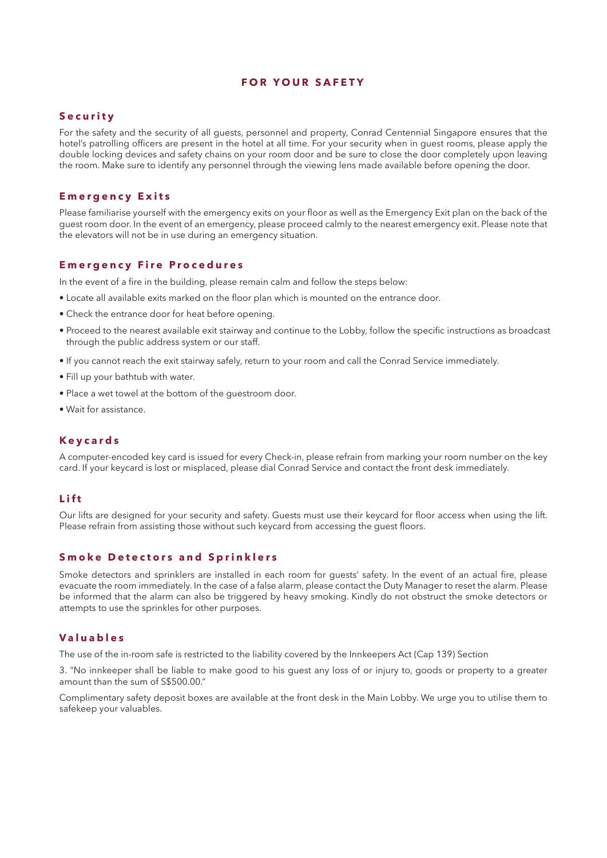#### **FOR YOUR SAFETY**

#### **Security**

For the safety and the security of all guests, personnel and property, Conrad Centennial Singapore ensures that the hotel's patrolling officers are present in the hotel at all time. For your security when in guest rooms, please apply the double locking devices and safety chains on your room door and be sure to close the door completely upon leaving the room. Make sure to identify any personnel through the viewing lens made available before opening the door.

## **Emergency Exits**

Please familiarise yourself with the emergency exits on your floor as well as the Emergency Exit plan on the back of the guest room door. In the event of an emergency, please proceed calmly to the nearest emergency exit. Please note that the elevators will not be in use during an emergency situation.

#### **Emergency Fire Procedures**

In the event of a fire in the building, please remain calm and follow the steps below:

- Locate all available exits marked on the floor plan which is mounted on the entrance door.
- Check the entrance door for heat before opening.
- Proceed to the nearest available exit stairway and continue to the Lobby, follow the specific instructions as broadcast through the public address system or our staff.
- If you cannot reach the exit stairway safely, return to your room and call the Conrad Service immediately.
- Fill up your bathtub with water.
- Place a wet towel at the bottom of the guestroom door.
- Wait for assistance.

#### **Keycards**

A computer-encoded key card is issued for every Check-in, please refrain from marking your room number on the key card. If your keycard is lost or misplaced, please dial Conrad Service and contact the front desk immediately.

# **Lift**

Our lifts are designed for your security and safety. Guests must use their keycard for floor access when using the lift. Please refrain from assisting those without such keycard from accessing the guest floors.

# **Smoke Detectors and Sprinklers**

Smoke detectors and sprinklers are installed in each room for guests' safety. In the event of an actual fire, please evacuate the room immediately. In the case of a false alarm, please contact the Duty Manager to reset the alarm. Please be informed that the alarm can also be triggered by heavy smoking. Kindly do not obstruct the smoke detectors or attempts to use the sprinkles for other purposes.

#### **Valuables**

The use of the in-room safe is restricted to the liability covered by the Innkeepers Act (Cap 139) Section

3. "No innkeeper shall be liable to make good to his guest any loss of or injury to, goods or property to a greater amount than the sum of S\$500.00."

Complimentary safety deposit boxes are available at the front desk in the Main Lobby. We urge you to utilise them to safekeep your valuables.